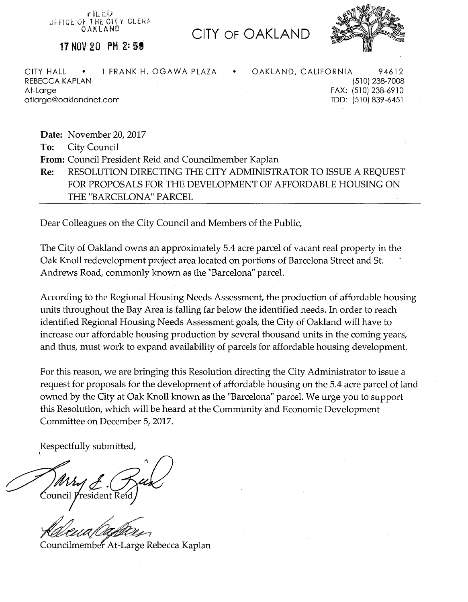r iLi:U OFFICE OF THE CITY CLERA OAKLAND

**CITY OF OAKLAND** 



**17 NOV 20 PM 2: 59** 

CITY HALL • 1 FRANK H. OGAWA PLAZA • OAKLAND, CALIFORNIA 94612 REBECCA KAPLAN At-Large atlarge@oaklandnet.com

(510) 238-7008 FAX: (510) 238-6910 TDD: (510) 839-6451

**Date:** November 20, 2017

**To:** City Council

**From:** Council President Reid and Councilmember Kaplan

**Re:** RESOLUTION DIRECTING THE CITY ADMINISTRATOR TO ISSUE A REQUEST FOR PROPOSALS FOR THE DEVELOPMENT OF AFFORDABLE HOUSING ON THE "BARCELONA" PARCEL

Dear Colleagues on the City Council and Members of the Public,

The City of Oakland owns an approximately 5.4 acre parcel of vacant real property in the Oak Knoll redevelopment project area located on portions of Barcelona Street and St. Andrews Road, commonly known as the "Barcelona" parcel.

According to the Regional Housing Needs Assessment, the production of affordable housing units throughout the Bay Area is falling far below the identified needs. In order to reach identified Regional Housing Needs Assessment goals, the City of Oakland will have to increase our affordable housing production by several thousand units in the coming years, and thus, must work to expand availability of parcels for affordable housing development.

For this reason, we are bringing this Resolution directing the City Administrator to issue a request for proposals for the development of affordable housing on the 5.4 acre parcel of land owned by the City at Oak Knoll known as the "Barcelona" parcel. We urge you to support this Resolution, which will be heard at the Community and Economic Development Committee on December 5, 2017.

Respectfully submitted,

\ Council *President* Reic

Councilmember At-Large Rebecca Kaplan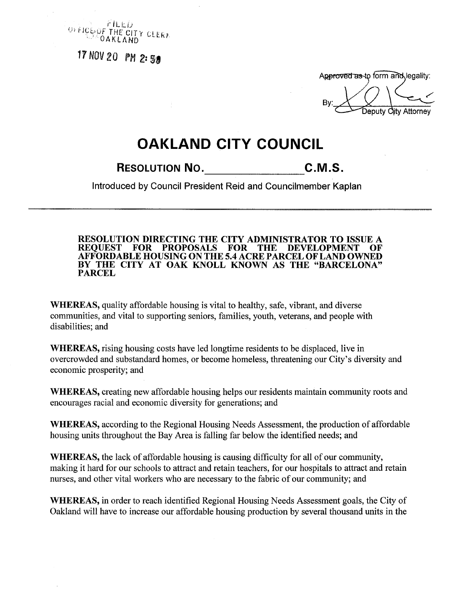

17 NOV 20 PM 2:58

Approved as to form and legality:

Attorney

## **OAKLAND CITY COUNCIL**

**RESOLUTION NO.** C.M.S.

**Introduced by Council President Reid and Councilmember Kaplan** 

**RESOLUTION DIRECTING THE CITY ADMINISTRATOR TO ISSUE A**  FOR PROPOSALS FOR THE DEVELOPMENT **AFFORDABLE HOUSING ON THE 5.4 ACRE PARCEL OF LAND OWNED BY THE CITY AT OAK KNOLL KNOWN AS THE "BARCELONA" PARCEL** 

**WHEREAS,** quality affordable housing is vital to healthy, safe, vibrant, and diverse communities, and vital to supporting seniors, families, youth, veterans, and people with disabilities; and

**WHEREAS,** rising housing costs have led longtime residents to be displaced, live in overcrowded and substandard homes, or become homeless, threatening our City's diversity and economic prosperity; and

**WHEREAS,** creating new affordable housing helps our residents maintain community roots and encourages racial and economic diversity for generations; and

**WHEREAS,** according to the Regional Housing Needs Assessment, the production of affordable housing units throughout the Bay Area is falling far below the identified needs; and

**WHEREAS,** the lack of affordable housing is causing difficulty for all of our community, making it hard for our schools to attract and retain teachers, for our hospitals to attract and retain nurses, and other vital workers who are necessary to the fabric of our community; and

**WHEREAS,** in order to reach identified Regional Housing Needs Assessment goals, the City of Oakland will have to increase our affordable housing production by several thousand units in the